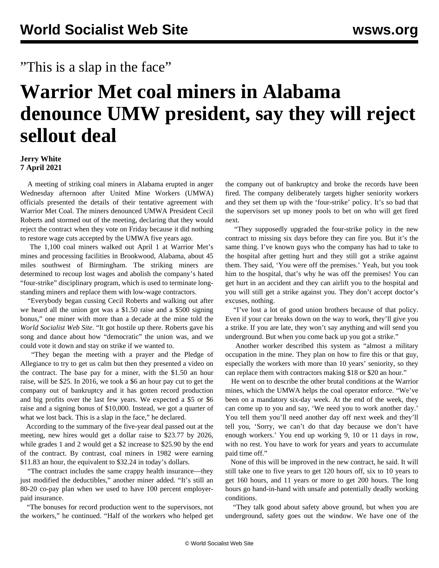## "This is a slap in the face"

## **Warrior Met coal miners in Alabama denounce UMW president, say they will reject sellout deal**

## **Jerry White 7 April 2021**

 A meeting of striking coal miners in Alabama erupted in anger Wednesday afternoon after United Mine Workers (UMWA) officials presented the details of their tentative agreement with Warrior Met Coal. The miners denounced UMWA President Cecil Roberts and stormed out of the meeting, declaring that they would reject the contract when they vote on Friday because it did nothing to restore wage cuts accepted by the UMWA five years ago.

 The 1,100 coal miners walked out April 1 at Warrior Met's mines and processing facilities in Brookwood, Alabama, about 45 miles southwest of Birmingham. The striking miners are determined to recoup lost wages and abolish the company's hated "four-strike" disciplinary program, which is used to terminate longstanding miners and replace them with low-wage contractors.

 "Everybody began cussing Cecil Roberts and walking out after we heard all the union got was a \$1.50 raise and a \$500 signing bonus," one miner with more than a decade at the mine told the *World Socialist Web Site*. "It got hostile up there. Roberts gave his song and dance about how "democratic" the union was, and we could vote it down and stay on strike if we wanted to.

 "They began the meeting with a prayer and the Pledge of Allegiance to try to get us calm but then they presented a video on the contract. The base pay for a miner, with the \$1.50 an hour raise, will be \$25. In 2016, we took a \$6 an hour pay cut to get the company out of bankruptcy and it has gotten record production and big profits over the last few years. We expected a \$5 or \$6 raise and a signing bonus of \$10,000. Instead, we got a quarter of what we lost back. This is a slap in the face," he declared.

 According to the summary of the five-year deal passed out at the meeting, new hires would get a dollar raise to \$23.77 by 2026, while grades 1 and 2 would get a \$2 increase to \$25.90 by the end of the contract. By contrast, coal miners in 1982 were earning \$11.83 an hour, the equivalent to \$32.24 in today's dollars.

 "The contract includes the same crappy health insurance—they just modified the deductibles," another miner added. "It's still an 80-20 co-pay plan when we used to have 100 percent employerpaid insurance.

 "The bonuses for record production went to the supervisors, not the workers," he continued. "Half of the workers who helped get the company out of bankruptcy and broke the records have been fired. The company deliberately targets higher seniority workers and they set them up with the 'four-strike' policy. It's so bad that the supervisors set up money pools to bet on who will get fired next.

 "They supposedly upgraded the four-strike policy in the new contract to missing six days before they can fire you. But it's the same thing. I've known guys who the company has had to take to the hospital after getting hurt and they still got a strike against them. They said, 'You were off the premises.' Yeah, but you took him to the hospital, that's why he was off the premises! You can get hurt in an accident and they can airlift you to the hospital and you will still get a strike against you. They don't accept doctor's excuses, nothing.

 "I've lost a lot of good union brothers because of that policy. Even if your car breaks down on the way to work, they'll give you a strike. If you are late, they won't say anything and will send you underground. But when you come back up you got a strike."

 Another worker described this system as "almost a military occupation in the mine. They plan on how to fire this or that guy, especially the workers with more than 10 years' seniority, so they can replace them with contractors making \$18 or \$20 an hour."

 He went on to describe the other brutal conditions at the Warrior mines, which the UMWA helps the coal operator enforce. "We've been on a mandatory six-day week. At the end of the week, they can come up to you and say, 'We need you to work another day.' You tell them you'll need another day off next week and they'll tell you, 'Sorry, we can't do that day because we don't have enough workers.' You end up working 9, 10 or 11 days in row, with no rest. You have to work for years and years to accumulate paid time off."

 None of this will be improved in the new contract, he said. It will still take one to five years to get 120 hours off, six to 10 years to get 160 hours, and 11 years or more to get 200 hours. The long hours go hand-in-hand with unsafe and potentially deadly working conditions.

 "They talk good about safety above ground, but when you are underground, safety goes out the window. We have one of the